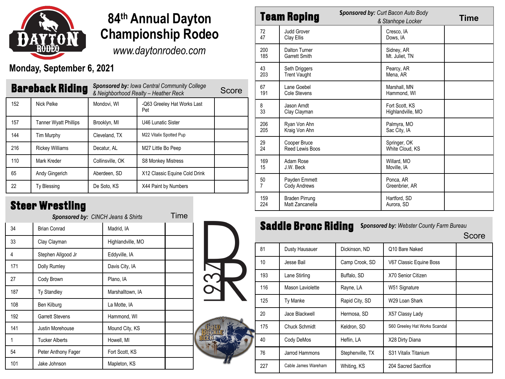

# **84th Annual Dayton Championship Rodeo**

*www.daytonrodeo.com*

#### **Monday, September 6, 2021**

| <b>Bareback Riding</b> |                              | <b>Sponsored by: Iowa Central Community College</b><br>& Neighborhood Realty - Heather Reck |                                    | Score |
|------------------------|------------------------------|---------------------------------------------------------------------------------------------|------------------------------------|-------|
| 152                    | Nick Pelke                   | Mondovi, WI                                                                                 | -Q63 Greeley Hat Works Last<br>Pet |       |
| 157                    | <b>Tanner Wyatt Phillips</b> | Brooklyn, MI                                                                                | U46 Lunatic Sister                 |       |
| 144                    | <b>Tim Murphy</b>            | Cleveland, TX                                                                               | M22 Vitalix Spotted Pup            |       |
| 216                    | <b>Rickey Williams</b>       | Decatur. AL                                                                                 | M27 Little Bo Peep                 |       |
| 110                    | Mark Kreder                  | Collinsville, OK                                                                            | S8 Monkey Mistress                 |       |
| 65                     | Andy Gingerich               | Aberdeen, SD                                                                                | X12 Classic Equine Cold Drink      |       |
| 22                     | <b>Ty Blessing</b>           | De Soto, KS                                                                                 | X44 Paint by Numbers               |       |

#### **Steer Wrestling**

| <b>Sponsored by: CINCH Jeans &amp; Shirts</b> |                        |                   |  |  |
|-----------------------------------------------|------------------------|-------------------|--|--|
| 34                                            | <b>Brian Conrad</b>    | Madrid, IA        |  |  |
| 33                                            | Clay Clayman           | Highlandville, MO |  |  |
| 4                                             | Stephen Allgood Jr     | Eddyville, IA     |  |  |
| 171                                           | <b>Dolly Rumley</b>    | Davis City, IA    |  |  |
| 27                                            | Cody Brown             | Plano, IA         |  |  |
| 187                                           | <b>Ty Standley</b>     | Marshalltown, IA  |  |  |
| 108                                           | Ben Kilburg            | La Motte, IA      |  |  |
| 192                                           | <b>Garrett Stevens</b> | Hammond, WI       |  |  |
| 141                                           | Justin Morehouse       | Mound City, KS    |  |  |
| 1                                             | <b>Tucker Alberts</b>  | Howell, MI        |  |  |
| 54                                            | Peter Anthony Fager    | Fort Scott, KS    |  |  |
| 101                                           | Jake Johnson           | Mapleton, KS      |  |  |
|                                               |                        |                   |  |  |





| <b>Team Roping</b> |                                          | <b>Sponsored by: Curt Bacon Auto Body</b><br>& Stanhope Locker |                                     | <b>Time</b> |
|--------------------|------------------------------------------|----------------------------------------------------------------|-------------------------------------|-------------|
| 72<br>47           | <b>Judd Grover</b><br>Clay Ellis         |                                                                | Cresco, IA<br>Dows, IA              |             |
| 200<br>185         | Dalton Turner<br><b>Garrett Smith</b>    |                                                                | Sidney, AR<br>Mt. Juliet, TN        |             |
| 43<br>203          | Seth Driggers<br><b>Trent Vaught</b>     |                                                                | Pearcy, AR<br>Mena, AR              |             |
| 67<br>191          | Lane Goebel<br>Cole Stevens              |                                                                | Marshall, MN<br>Hammond. WI         |             |
| 8<br>33            | Jason Arndt<br>Clay Clayman              |                                                                | Fort Scott, KS<br>Highlandville, MO |             |
| 206<br>205         | Ryan Von Ahn<br>Kraig Von Ahn            |                                                                | Palmyra, MO<br>Sac City, IA         |             |
| 29<br>24           | Cooper Bruce<br>Reed Lewis Boos          |                                                                | Springer, OK<br>White Cloud, KS     |             |
| 169<br>15          | Adam Rose<br>J.W. Beck                   |                                                                | Willard, MO<br>Moville, IA          |             |
| 50<br>7            | Payden Emmett<br>Cody Andrews            |                                                                | Ponca, AR<br>Greenbrier, AR         |             |
| 159<br>224         | <b>Braden Pirrung</b><br>Matt Zancanella |                                                                | Hartford, SD<br>Aurora, SD          |             |

# **Saddle Bronc Riding** Sponsored by: Webster County Farm Bureau Score

| 81  | Dusty Hausauer      | Dickinson, ND    | Q10 Bare Naked                |  |
|-----|---------------------|------------------|-------------------------------|--|
| 10  | Jesse Bail          | Camp Crook, SD   | V67 Classic Equine Boss       |  |
| 193 | Lane Stirling       | Buffalo, SD      | X70 Senior Citizen            |  |
| 116 | Mason Laviolette    | Rayne, LA        | W51 Signature                 |  |
| 125 | <b>Ty Manke</b>     | Rapid City, SD   | W29 Loan Shark                |  |
| 20  | Jace Blackwell      | Hermosa, SD      | X57 Classy Lady               |  |
| 175 | Chuck Schmidt       | Keldron, SD      | S60 Greeley Hat Works Scandal |  |
| 40  | Cody DeMos          | Heflin, LA       | X28 Dirty Diana               |  |
| 76  | Jarrod Hammons      | Stephenville, TX | S31 Vitalix Titanium          |  |
| 227 | Cable James Wareham | Whiting, KS      | 204 Sacred Sacrifice          |  |